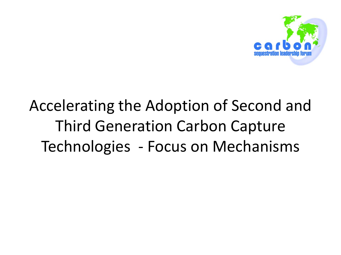

## Accelerating the Adoption of Second and Third Generation Carbon Capture Technologies - Focus on Mechanisms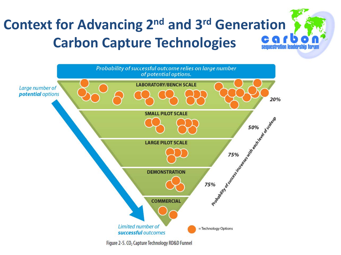#### **Context for Advancing 2nd and 3rd Generation Carbon Capture Technologies**equestration leadership forum



Figure 2-5. CO<sub>2</sub> Capture Technology RD&D Funnel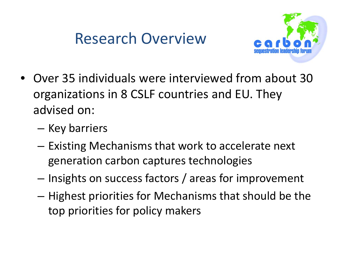### Research Overview



- Over 35 individuals were interviewed from about 30 organizations in 8 CSLF countries and EU. They advised on:
	- Key barriers
	- Existing Mechanisms that work to accelerate next generation carbon captures technologies
	- Insights on success factors / areas for improvement
	- Highest priorities for Mechanisms that should be the top priorities for policy makers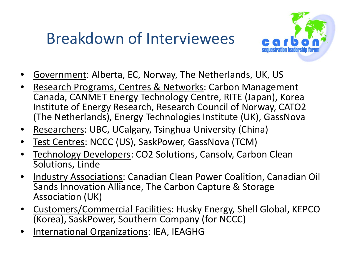### Breakdown of Interviewees



- Government: Alberta, EC, Norway, The Netherlands, UK, US
- Research Programs, Centres & Networks: Carbon Management Canada, CANMET Energy Technology Centre, RITE (Japan), Korea Institute of Energy Research, Research Council of Norway, CATO2 (The Netherlands), Energy Technologies Institute (UK), GassNova
- Researchers: UBC, UCalgary, Tsinghua University (China)
- Test Centres: NCCC (US), SaskPower, GassNova (TCM)
- Technology Developers: CO2 Solutions, Cansolv, Carbon Clean Solutions, Linde
- Industry Associations: Canadian Clean Power Coalition, Canadian Oil Sands Innovation Alliance, The Carbon Capture & Storage Association (UK)
- Customers/Commercial Facilities: Husky Energy, Shell Global, KEPCO (Korea), SaskPower, Southern Company (for NCCC)
- International Organizations: IEA, IEAGHG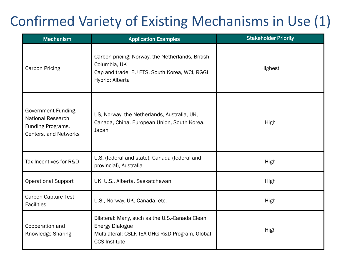#### Confirmed Variety of Existing Mechanisms in Use (1)

| <b>Mechanism</b>                                                                              | <b>Application Examples</b>                                                                                                                         | <b>Stakeholder Priority</b> |  |
|-----------------------------------------------------------------------------------------------|-----------------------------------------------------------------------------------------------------------------------------------------------------|-----------------------------|--|
| <b>Carbon Pricing</b>                                                                         | Carbon pricing: Norway, the Netherlands, British<br>Columbia, UK<br>Cap and trade: EU ETS, South Korea, WCI, RGGI<br>Hybrid: Alberta                | Highest                     |  |
| Government Funding,<br><b>National Research</b><br>Funding Programs,<br>Centers, and Networks | US, Norway, the Netherlands, Australia, UK,<br>Canada, China, European Union, South Korea,<br>Japan                                                 | High                        |  |
| Tax Incentives for R&D                                                                        | U.S. (federal and state), Canada (federal and<br>provincial), Australia                                                                             | High                        |  |
| <b>Operational Support</b>                                                                    | UK, U.S., Alberta, Saskatchewan                                                                                                                     | High                        |  |
| <b>Carbon Capture Test</b><br><b>Facilities</b>                                               | U.S., Norway, UK, Canada, etc.                                                                                                                      | High                        |  |
| Cooperation and<br>Knowledge Sharing                                                          | Bilateral: Many, such as the U.S.-Canada Clean<br><b>Energy Dialogue</b><br>Multilateral: CSLF, IEA GHG R&D Program, Global<br><b>CCS Institute</b> | High                        |  |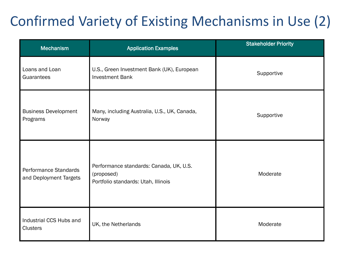### Confirmed Variety of Existing Mechanisms in Use (2)

| <b>Mechanism</b>                                | <b>Application Examples</b>                                                                  | <b>Stakeholder Priority</b> |
|-------------------------------------------------|----------------------------------------------------------------------------------------------|-----------------------------|
| Loans and Loan<br>Guarantees                    | U.S., Green Investment Bank (UK), European<br><b>Investment Bank</b>                         | Supportive                  |
| <b>Business Development</b><br>Programs         | Many, including Australia, U.S., UK, Canada,<br>Norway                                       | Supportive                  |
| Performance Standards<br>and Deployment Targets | Performance standards: Canada, UK, U.S.<br>(proposed)<br>Portfolio standards: Utah, Illinois | Moderate                    |
| Industrial CCS Hubs and<br><b>Clusters</b>      | UK, the Netherlands                                                                          | Moderate                    |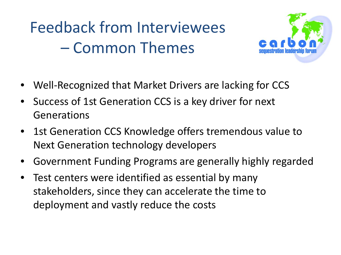## Feedback from Interviewees – Common Themes



- Well-Recognized that Market Drivers are lacking for CCS
- Success of 1st Generation CCS is a key driver for next Generations
- 1st Generation CCS Knowledge offers tremendous value to Next Generation technology developers
- Government Funding Programs are generally highly regarded
- Test centers were identified as essential by many stakeholders, since they can accelerate the time to deployment and vastly reduce the costs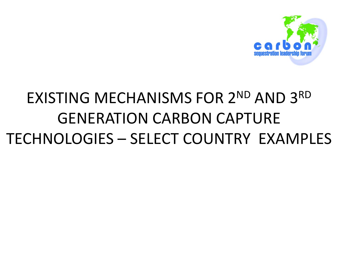

## EXISTING MECHANISMS FOR 2ND AND 3RD GENERATION CARBON CAPTURE TECHNOLOGIES – SELECT COUNTRY EXAMPLES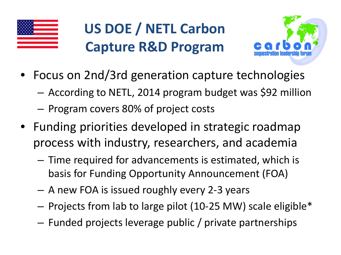

## **US DOE / NETL Carbon Capture R&D Program**



- Focus on 2nd/3rd generation capture technologies
	- According to NETL, 2014 program budget was \$92 million
	- Program covers 80% of project costs
- Funding priorities developed in strategic roadmap process with industry, researchers, and academia
	- Time required for advancements is estimated, which is basis for Funding Opportunity Announcement (FOA)
	- A new FOA is issued roughly every 2-3 years
	- Projects from lab to large pilot (10-25 MW) scale eligible\*
	- Funded projects leverage public / private partnerships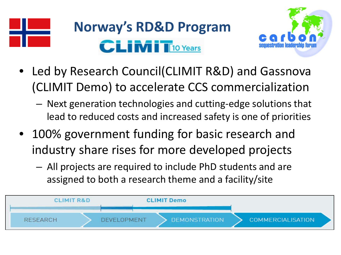

## **Norway's RD&D Program CLIMIT**10 Years



- Led by Research Council(CLIMIT R&D) and Gassnova (CLIMIT Demo) to accelerate CCS commercialization
	- Next generation technologies and cutting-edge solutions that lead to reduced costs and increased safety is one of priorities
- 100% government funding for basic research and industry share rises for more developed projects
	- All projects are required to include PhD students and are assigned to both a research theme and a facility/site

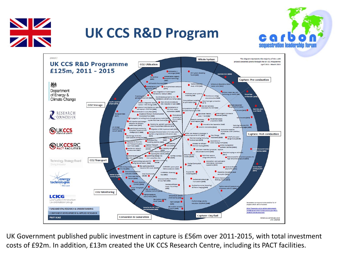

#### **UK CCS R&D Program**





UK Government published public investment in capture is £56m over 2011-2015, with total investment costs of £92m. In addition, £13m created the UK CCS Research Centre, including its PACT facilities.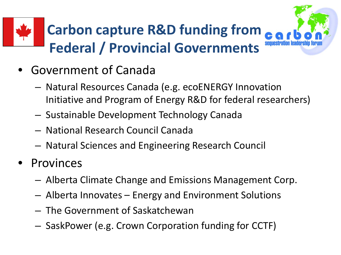# **Carbon capture R&D funding from Federal / Provincial Governments**



- Government of Canada
	- Natural Resources Canada (e.g. ecoENERGY Innovation Initiative and Program of Energy R&D for federal researchers)
	- Sustainable Development Technology Canada
	- National Research Council Canada
	- Natural Sciences and Engineering Research Council
- **Provinces** 
	- Alberta Climate Change and Emissions Management Corp.
	- Alberta Innovates Energy and Environment Solutions
	- The Government of Saskatchewan
	- SaskPower (e.g. Crown Corporation funding for CCTF)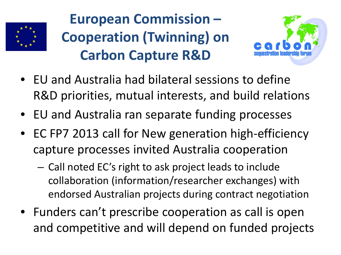

## **European Commission – Cooperation (Twinning) on Carbon Capture R&D**



- EU and Australia had bilateral sessions to define R&D priorities, mutual interests, and build relations
- EU and Australia ran separate funding processes
- EC FP7 2013 call for New generation high-efficiency capture processes invited Australia cooperation
	- Call noted EC's right to ask project leads to include collaboration (information/researcher exchanges) with endorsed Australian projects during contract negotiation
- Funders can't prescribe cooperation as call is open and competitive and will depend on funded projects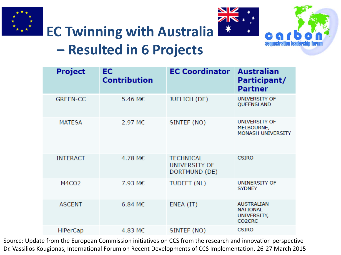





#### **EC Twinning with Australia – Resulted in 6 Projects**

| <b>Project</b>    | EC<br><b>Contribution</b> | <b>EC Coordinator</b>                              | <b>Australian</b><br>Participant/<br><b>Partner</b>                                    |
|-------------------|---------------------------|----------------------------------------------------|----------------------------------------------------------------------------------------|
| <b>GREEN-CC</b>   | 5.46 M€                   | JUELICH (DE)                                       | UNIVERSITY OF<br>QUEENSLAND                                                            |
| <b>MATESA</b>     | 2.97 M€                   | SINTEF (NO)                                        | UNIVERSITY OF<br>MELBOURNE,<br><b>MONASH UNIVERSITY</b>                                |
| <b>INTERACT</b>   | 4.78 M $\epsilon$         | <b>TECHNICAL</b><br>UNIVERSITY OF<br>DORTMUND (DE) | <b>CSIRO</b>                                                                           |
| M4CO <sub>2</sub> | 7.93 M€                   | TUDEFT (NL)                                        | UNINERSITY OF<br><b>SYDNEY</b>                                                         |
| <b>ASCENT</b>     | $6.84 \text{ M} \in$      | ENEA (IT)                                          | <b>AUSTRALIAN</b><br><b>NATIONAL</b><br>UNIVERSITY,<br>CO <sub>2</sub> C <sub>RC</sub> |
| <b>HiPerCap</b>   | 4.83 M€                   | SINTEF (NO)                                        | <b>CSIRO</b>                                                                           |

Source: Update from the European Commission initiatives on CCS from the research and innovation perspective Dr. Vassilios Kougionas, International Forum on Recent Developments of CCS Implementation, 26-27 March 2015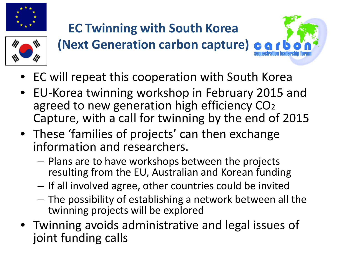

#### **EC Twinning with South Korea (Next Generation carbon capture)**



- EC will repeat this cooperation with South Korea
- EU-Korea twinning workshop in February 2015 and agreed to new generation high efficiency CO<sub>2</sub> Capture, with a call for twinning by the end of 2015
- These 'families of projects' can then exchange information and researchers.
	- Plans are to have workshops between the projects resulting from the EU, Australian and Korean funding
	- If all involved agree, other countries could be invited
	- The possibility of establishing a network between all the twinning projects will be explored
- Twinning avoids administrative and legal issues of joint funding calls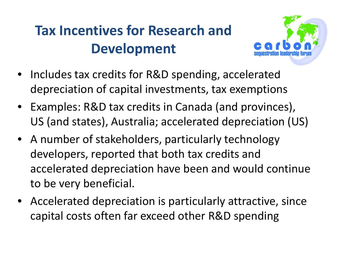### **Tax Incentives for Research and Development**



- Includes tax credits for R&D spending, accelerated depreciation of capital investments, tax exemptions
- Examples: R&D tax credits in Canada (and provinces), US (and states), Australia; accelerated depreciation (US)
- A number of stakeholders, particularly technology developers, reported that both tax credits and accelerated depreciation have been and would continue to be very beneficial.
- Accelerated depreciation is particularly attractive, since capital costs often far exceed other R&D spending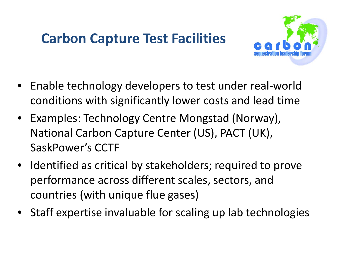#### **Carbon Capture Test Facilities**



- Enable technology developers to test under real-world conditions with significantly lower costs and lead time
- Examples: Technology Centre Mongstad (Norway), National Carbon Capture Center (US), PACT (UK), SaskPower's CCTF
- Identified as critical by stakeholders; required to prove performance across different scales, sectors, and countries (with unique flue gases)
- Staff expertise invaluable for scaling up lab technologies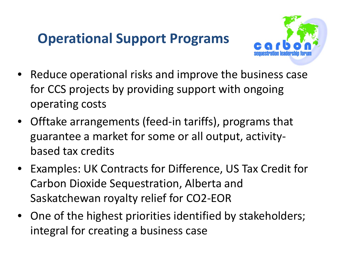#### **Operational Support Programs**



- Reduce operational risks and improve the business case for CCS projects by providing support with ongoing operating costs
- Offtake arrangements (feed-in tariffs), programs that guarantee a market for some or all output, activitybased tax credits
- Examples: UK Contracts for Difference, US Tax Credit for Carbon Dioxide Sequestration, Alberta and Saskatchewan royalty relief for CO2-EOR
- One of the highest priorities identified by stakeholders; integral for creating a business case